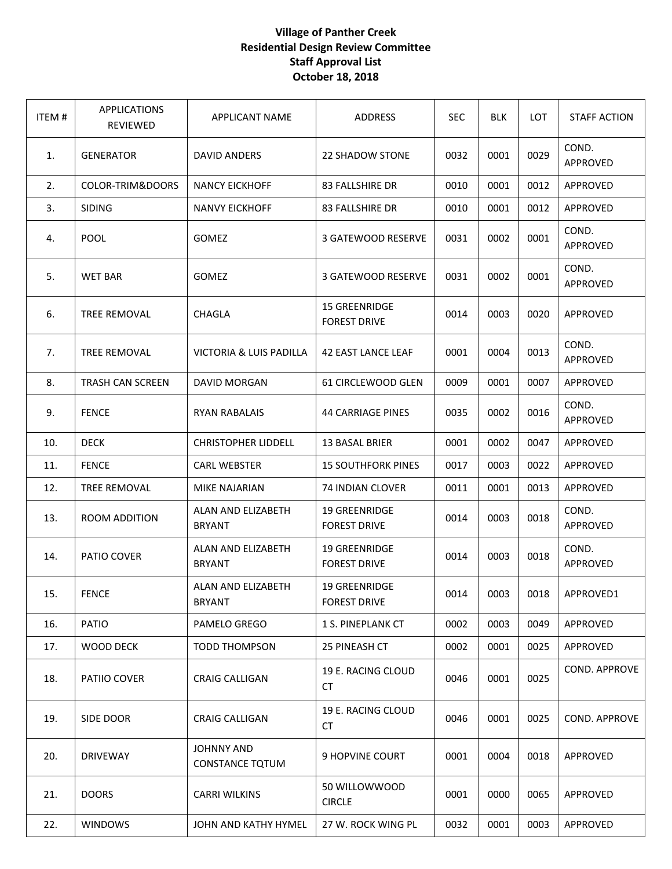## **Village of Panther Creek Residential Design Review Committee Staff Approval List October 18, 2018**

| ITEM# | <b>APPLICATIONS</b><br>REVIEWED | <b>APPLICANT NAME</b>                       | ADDRESS                                     | <b>SEC</b> | <b>BLK</b> | LOT  | <b>STAFF ACTION</b>  |
|-------|---------------------------------|---------------------------------------------|---------------------------------------------|------------|------------|------|----------------------|
| 1.    | <b>GENERATOR</b>                | DAVID ANDERS                                | <b>22 SHADOW STONE</b>                      | 0032       | 0001       | 0029 | COND.<br>APPROVED    |
| 2.    | COLOR-TRIM&DOORS                | <b>NANCY EICKHOFF</b>                       | 83 FALLSHIRE DR                             | 0010       | 0001       | 0012 | APPROVED             |
| 3.    | <b>SIDING</b>                   | <b>NANVY EICKHOFF</b>                       | 83 FALLSHIRE DR                             | 0010       | 0001       | 0012 | APPROVED             |
| 4.    | <b>POOL</b>                     | <b>GOMEZ</b>                                | 3 GATEWOOD RESERVE                          | 0031       | 0002       | 0001 | COND.<br>APPROVED    |
| 5.    | <b>WET BAR</b>                  | <b>GOMEZ</b>                                | 3 GATEWOOD RESERVE                          | 0031       | 0002       | 0001 | COND.<br>APPROVED    |
| 6.    | <b>TREE REMOVAL</b>             | <b>CHAGLA</b>                               | 15 GREENRIDGE<br><b>FOREST DRIVE</b>        | 0014       | 0003       | 0020 | APPROVED             |
| 7.    | <b>TREE REMOVAL</b>             | <b>VICTORIA &amp; LUIS PADILLA</b>          | <b>42 EAST LANCE LEAF</b>                   | 0001       | 0004       | 0013 | COND.<br>APPROVED    |
| 8.    | <b>TRASH CAN SCREEN</b>         | DAVID MORGAN                                | 61 CIRCLEWOOD GLEN                          | 0009       | 0001       | 0007 | APPROVED             |
| 9.    | <b>FENCE</b>                    | <b>RYAN RABALAIS</b>                        | <b>44 CARRIAGE PINES</b>                    | 0035       | 0002       | 0016 | COND.<br>APPROVED    |
| 10.   | <b>DECK</b>                     | <b>CHRISTOPHER LIDDELL</b>                  | 13 BASAL BRIER                              | 0001       | 0002       | 0047 | APPROVED             |
| 11.   | <b>FENCE</b>                    | <b>CARL WEBSTER</b>                         | <b>15 SOUTHFORK PINES</b>                   | 0017       | 0003       | 0022 | APPROVED             |
| 12.   | TREE REMOVAL                    | <b>MIKE NAJARIAN</b>                        | <b>74 INDIAN CLOVER</b>                     | 0011       | 0001       | 0013 | APPROVED             |
| 13.   | ROOM ADDITION                   | ALAN AND ELIZABETH<br><b>BRYANT</b>         | <b>19 GREENRIDGE</b><br><b>FOREST DRIVE</b> | 0014       | 0003       | 0018 | COND.<br>APPROVED    |
| 14.   | PATIO COVER                     | ALAN AND ELIZABETH<br><b>BRYANT</b>         | 19 GREENRIDGE<br><b>FOREST DRIVE</b>        | 0014       | 0003       | 0018 | COND.<br>APPROVED    |
| 15.   | <b>FENCE</b>                    | ALAN AND ELIZABETH<br><b>BRYANT</b>         | <b>19 GREENRIDGE</b><br><b>FOREST DRIVE</b> | 0014       | 0003       | 0018 | APPROVED1            |
| 16.   | PATIO                           | PAMELO GREGO                                | 1 S. PINEPLANK CT                           | 0002       | 0003       | 0049 | APPROVED             |
| 17.   | <b>WOOD DECK</b>                | <b>TODD THOMPSON</b>                        | 25 PINEASH CT                               | 0002       | 0001       | 0025 | <b>APPROVED</b>      |
| 18.   | PATIIO COVER                    | <b>CRAIG CALLIGAN</b>                       | 19 E. RACING CLOUD<br>CT                    | 0046       | 0001       | 0025 | <b>COND. APPROVE</b> |
| 19.   | SIDE DOOR                       | <b>CRAIG CALLIGAN</b>                       | 19 E. RACING CLOUD<br>CT                    | 0046       | 0001       | 0025 | COND. APPROVE        |
| 20.   | <b>DRIVEWAY</b>                 | <b>JOHNNY AND</b><br><b>CONSTANCE TOTUM</b> | <b>9 HOPVINE COURT</b>                      | 0001       | 0004       | 0018 | APPROVED             |
| 21.   | <b>DOORS</b>                    | <b>CARRI WILKINS</b>                        | 50 WILLOWWOOD<br><b>CIRCLE</b>              | 0001       | 0000       | 0065 | APPROVED             |
| 22.   | <b>WINDOWS</b>                  | JOHN AND KATHY HYMEL                        | 27 W. ROCK WING PL                          | 0032       | 0001       | 0003 | APPROVED             |